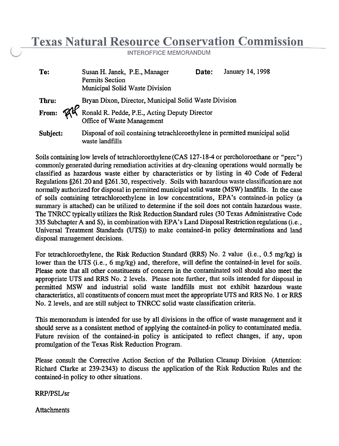## **Texas Natural Resource Conservation Commission**

INTEROFFICE MEMORANDUM

| To:      | Susan H. Janek, P.E., Manager<br>Permits Section<br>Municipal Solid Waste Division                            | Date: | January 14, 1998 |  |  |  |
|----------|---------------------------------------------------------------------------------------------------------------|-------|------------------|--|--|--|
| Thru:    | Bryan Dixon, Director, Municipal Solid Waste Division                                                         |       |                  |  |  |  |
|          | From: $\mathcal{A}^{\mathcal{A}}$ Ronald R. Pedde, P.E., Acting Deputy Director<br>Office of Waste Management |       |                  |  |  |  |
| Subject: | Disposal of soil containing tetrachloroethylene in permitted municipal solid<br>waste landfills               |       |                  |  |  |  |

Soils containing low levels of tetrachloroethylene (CAS 127-18-4 or percholoroethane or "perc") commonly generated during remediation activities at dry-cleaning operations would normally be classified as hazardous waste either by characteristics or by listing in 40 Code of Federal Regulations §761.20 and §261.30, respectively. Soils with hazardous waste classification are not normally authorized for disposal in permitted municipal solid waste (MSW) landfills. In the case of soils containing tetrachloroethylene in low concentrations, EPA's contained-in policy (a summary is attached) can be utilized to determine if the soil does not contain hazardous waste. The TNRCC typically utilizes the Risk Reduction Standard rules (30 Texas Administrative Code 335 Subchapter A and S), in combination with EPA's Land Disposal Restriction regulations (i.e., Universal Treatment Standards (UTS)) to make contained-in policy determinations and land disposal management decisions.

For tetrachloroethylene, the Risk Reduction Standard (RRS) No. 2 value (i.e., 0.5 mg/kg) is lower than the UTS (i.e., 6 mg/kg) and, therefore, will define the contained-in level for soils. Please note that all other constituents of concern in the contaminated soil should also meet the appropriate UTS and RRS No.2 levels. Please note further, that soits intended for disposal in permitted MSW and industrial solid waste landfills must not exhibit hazardous waste characteristics, all constituents of concern must meet the appropriate UTS and RRS No.1 or RRS No.2 levels, and are still subject to TNRCC solid waste classification criteria.

This memorandum is intended for use by all divisions in the office of waste management and it should serve as a consistent method of applying the contained-in policy to contaminated media. Future revision of the contained-in policy is anticipated to reflect changes, if any, upon promulgation of the Texas Risk Reduction Program.

Please consult the Corrective Action Section of the Pollution Cleanup Division (Attention: Richard Clarke at 239-2343) to discuss the application of the Risk Reduction Rules and the contained-in policy to other situations.

RRP/PSL/sr

Attachments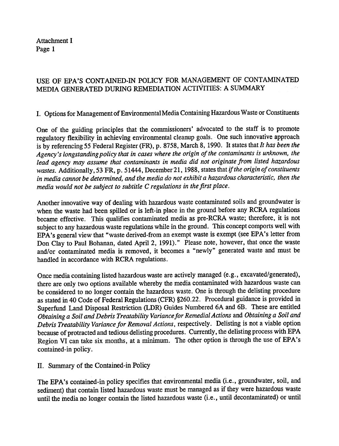Attachment I Page 1

## USE OF EPA'S CONTAINED-IN POLICY FOR MANAGEMENT OF CONTAMINATED MEDIA GENERATED DURING REMEDIATION ACTIVITIES: A SUMMARY

I. Options for Management of Environmental Media Containing Hazardous Waste or Constituents

One of the guiding principles that the commissioners' advocated to the staff is to promote regulatory flexibility in achieving environmental cleanup goals. One such innovative approach is by referencing 55 Federal Register (FR), p. 8758, March 8, 1990. It states that It has been the Agency's longstanding policy that in cases where the origin of the contaminants is unknown, the lead agency may assume that contaminants in media did not originate from listed hazardous wastes. Additionally, 53 FR, p. 51444, December 21, 1988, states that if the origin of constituents in media cannot be determined, and the media do not exhibit a hazardous characteristic, then the media would not be subject to subtitle C regulations in the first place .

Another innovative way of dealing with hazardous waste contaminated soils and groundwater is' when the waste had been spilled or is left-in place in the ground before any RCRA regulations became effective. This qualifies contaminated media as pre-RCRA waste; therefore, it is not subject to any hazardous waste regulations while in the ground. This concept comports well with EPA's general view that "waste derived-from an exempt waste is exempt (see EPA's letter from Don Clay to Paul Bohanan, dated April 2, 1991)." Please note, however, that once the waste and/or contaminated media is removed, it becomes a "newly" generated waste and must be handled in accordance with RCRA regulations .

Once media containing listed hazardous waste are actively managed (e.g., excavated/generated), there are only two options available whereby the media contaminated with hazardous waste can be considered to no longer contain the hazardous waste. One is through the delisting procedure as stated in 40 Code of Federal Regulations (CFR) §260.22. Procedural guidance is provided in Superfund Land Disposal Restriction (LDR) Guides Numbered 6A and 6B. These are entitled Obtaining a Soil and Debris Treatability Variance for Remedial Actions and Obtaining a Soil and Debris Treatability Variance for Removal Actions, respectively. Delisting is not a viable option because of protracted and tedious delisting procedures. Currently, the delisting process with EP A Region VI can take six months, at a minimum. The other option is through the use of EPA's contained-in policy.

II. Summary of the Contained-in Policy

The EPA's contained-in policy specifies that environmental media (i.e., groundwater, soil, and sediment) that contain listed hazardous waste must be managed as if they were hazardous waste until the media no longer contain the listed hazardous waste (i.e. , until decontaminated) or until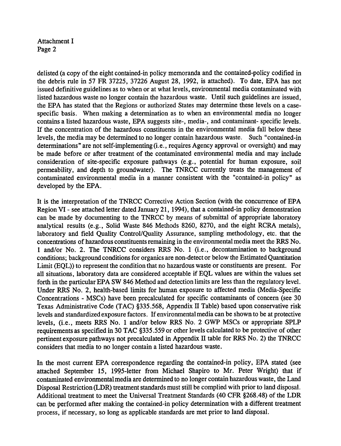Attachment I Page 2

delisted (a copy of the eight contained-in policy memoranda and the contained-policy codified in the debris rule in 57 FR 37225, 37226 August 28, 1992, is attached). To date, EPA has not issued definitive guidelines as to when or at what levels, environmental media contaminated with listed hazardous waste no longer contain the hazardous waste. Until such guidelines are issued, the EPA has stated that the Regions or authorized States may determine these levels on a casespecific basis. When making a determination as to when an environmental media no longer contains a listed hazardous waste, EPA suggests site-, media-, and contaminant- specific levels. If the concentration of the hazardous constituents in the environmental media fall below these levels, the media may be determined to no longer contain hazardous waste. Such "contained-in determinations" are not self-implementing (i.e., requires Agency approval or oversight) and may be made before or after treatment of the contaminated environmental media and may include consideration of site-specific exposure pathways (e.g., potential for human exposure, soil permeability, and depth to groundwater). The TNRCC currently treats the management of contaminated environmental media in a manner consistent with the "contained-in policy" as developed by the EPA.

It is the interpretation of the TNRCC Corrective Action Section (with the concurrence of EPA Region VI - see attached letter dated January 21, 1994), that a contained-in policy demonstration can be made by documenting to the TNRCC by means of submittal of-appropriate laboratory analytical results (e.g., Solid Waste 846 Methods 8260, 8270, and the eight RCRA metals), laboratory and field Quality Control/Quality Assurance, sampling methodology, etc. that the concentrations of hazardous constituents remaining in the environmental media meet the RRS No. 1 and/or No.2. The TNRCC considers RRS No.1 (i.e. , decontamination to background conditions; background conditions for organics are non-detect or below the Estimated Quantitation Limit (EQL)) to represent the condition that no hazardous waste or constituents are present. For all situations, laboratory data are considered acceptable if EQL values are within the values set forth in the particular EPA SW 846 Method and detection limits are less than the regulatory level. Under RRS No.2, health-based limits for human exposure to affected media (Media-Specific Concentrations -MSCs) have been precalculated for specific contaminants of concern (see 30 Texas Administrative Code (TAC) §335.568, Appendix II Table) based upon conservative risk levels and standardized exposure factors. If environmental media can be shown to be at protective levels, (i.e., meets RRS No.1 and/or below RRS No.2 GWP MSCs or appropriate SPLP requirements as specified in 30 TAC §335.559 or other levels calculated to be protective of other pertinent exposure pathways not precalculated in Appendix II table for RRS No.2) the TNRCC considers that media to no longer contain a listed hazardous waste .

In the most current EPA correspondence regarding the eontained-in policy, EPA stated (see attached September 15, 1995-letter from Michael Shapiro to Mr. Peter Wright) that if contaminated environmental media are detennined to no longer contain hazardous waste, the Land Disposal Restriction (LDR) treatment standards must still be complied with prior to land disposal. Additional treatment to meet the Universal Treatment Standards (40 CFR §268.48) of the LDR can be performed after making the contained-in policy determination with a different treatment process, if necessary, so long as applicable standards are met prior to land disposal.